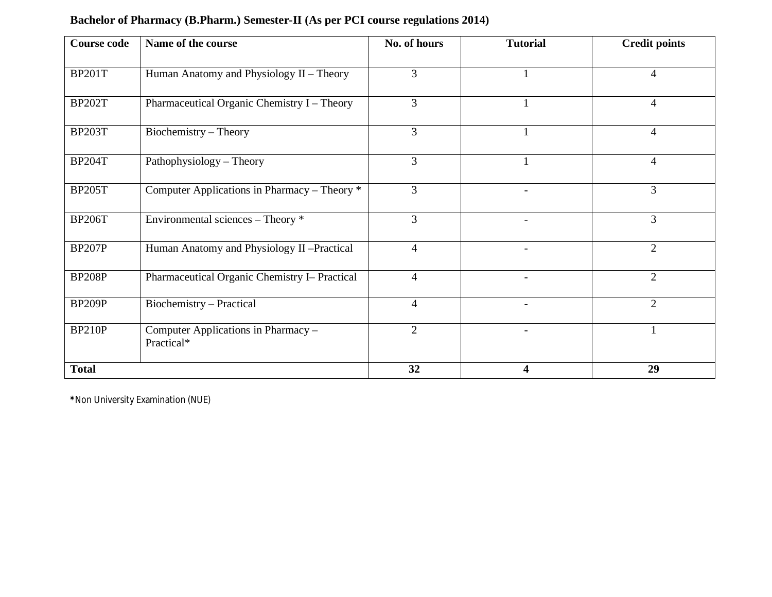| <b>Course code</b> | Name of the course                                | No. of hours   | <b>Tutorial</b> | <b>Credit points</b> |  |
|--------------------|---------------------------------------------------|----------------|-----------------|----------------------|--|
| <b>BP201T</b>      | Human Anatomy and Physiology II - Theory          | 3              |                 | $\overline{4}$       |  |
| <b>BP202T</b>      | Pharmaceutical Organic Chemistry I - Theory       | 3              |                 | $\overline{4}$       |  |
| <b>BP203T</b>      | Biochemistry - Theory                             | 3              |                 | 4                    |  |
| <b>BP204T</b>      | Pathophysiology - Theory                          | 3              |                 | 4                    |  |
| <b>BP205T</b>      | Computer Applications in Pharmacy – Theory *      | 3              |                 | 3                    |  |
| <b>BP206T</b>      | Environmental sciences – Theory *                 | 3              | $\blacksquare$  | 3                    |  |
| <b>BP207P</b>      | Human Anatomy and Physiology II-Practical         | $\overline{4}$ | ÷.              | $\overline{2}$       |  |
| <b>BP208P</b>      | Pharmaceutical Organic Chemistry I- Practical     | $\overline{4}$ |                 | $\overline{2}$       |  |
| <b>BP209P</b>      | Biochemistry - Practical                          | $\overline{4}$ |                 | $\overline{2}$       |  |
| <b>BP210P</b>      | Computer Applications in Pharmacy -<br>Practical* | $\overline{2}$ |                 |                      |  |
| <b>Total</b>       |                                                   | 32             | 4               | 29                   |  |

## **Bachelor of Pharmacy (B.Pharm.) Semester-II (As per PCI course regulations 2014)**

**\***Non University Examination (NUE)